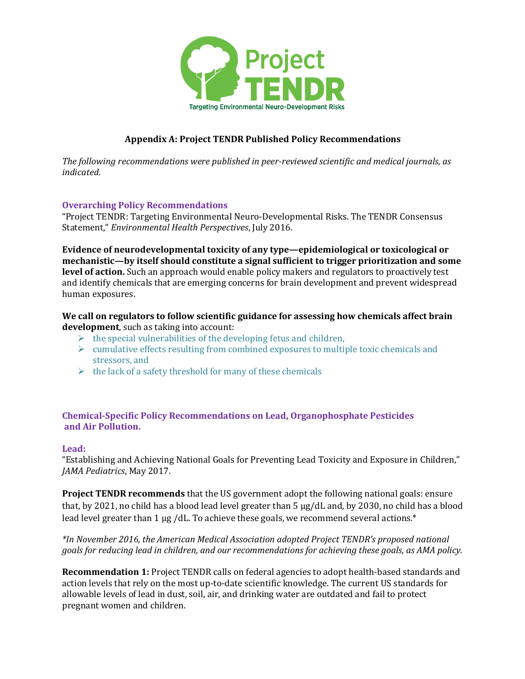

# **Appendix A: Project TENDR Published Policy Recommendations**

The following recommendations were published in peer-reviewed scientific and medical journals, as *indicated.*

## **Overarching Policy Recommendations**

"Project TENDR: Targeting Environmental Neuro-Developmental Risks. The TENDR Consensus Statement," *Environmental Health Perspectives*, July 2016.

Evidence of neurodevelopmental toxicity of any type—epidemiological or toxicological or mechanistic—by itself should constitute a signal sufficient to trigger prioritization and some **level of action.** Such an approach would enable policy makers and regulators to proactively test and identify chemicals that are emerging concerns for brain development and prevent widespread human exposures.

## We call on regulators to follow scientific guidance for assessing how chemicals affect brain **development**, such as taking into account:

- $\triangleright$  the special vulnerabilities of the developing fetus and children,
- $\triangleright$  cumulative effects resulting from combined exposures to multiple toxic chemicals and stressors, and
- $\triangleright$  the lack of a safety threshold for many of these chemicals

## **Chemical-Specific Policy Recommendations on Lead, Organophosphate Pesticides and Air Pollution.**

## **Lead:**

"Establishing and Achieving National Goals for Preventing Lead Toxicity and Exposure in Children," *JAMA Pediatrics*, May 2017.

**Project TENDR recommends** that the US government adopt the following national goals: ensure that, by 2021, no child has a blood lead level greater than  $5 \mu g/dL$  and, by 2030, no child has a blood lead level greater than 1  $\mu$ g /dL. To achieve these goals, we recommend several actions.\*

## *\*In November 2016, the American Medical Association adopted Project TENDR's proposed national goals* for reducing lead in children, and our recommendations for achieving these goals, as AMA policy.

**Recommendation 1:** Project TENDR calls on federal agencies to adopt health-based standards and action levels that rely on the most up-to-date scientific knowledge. The current US standards for allowable levels of lead in dust, soil, air, and drinking water are outdated and fail to protect pregnant women and children.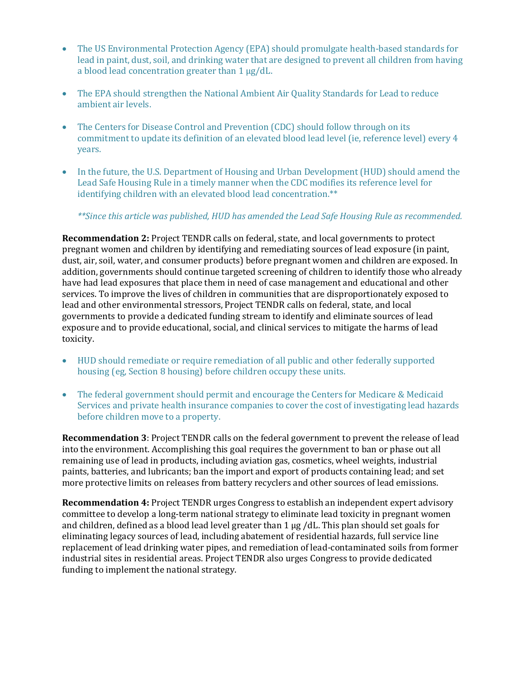- The US Environmental Protection Agency (EPA) should promulgate health-based standards for lead in paint, dust, soil, and drinking water that are designed to prevent all children from having a blood lead concentration greater than  $1 \mu g/dL$ .
- The EPA should strengthen the National Ambient Air Quality Standards for Lead to reduce ambient air levels.
- The Centers for Disease Control and Prevention (CDC) should follow through on its commitment to update its definition of an elevated blood lead level (ie, reference level) every 4 years.
- In the future, the U.S. Department of Housing and Urban Development (HUD) should amend the Lead Safe Housing Rule in a timely manner when the CDC modifies its reference level for identifying children with an elevated blood lead concentration.\*\*

#### \*\*Since this article was published, HUD has amended the Lead Safe Housing Rule as recommended.

**Recommendation 2:** Project TENDR calls on federal, state, and local governments to protect pregnant women and children by identifying and remediating sources of lead exposure (in paint, dust, air, soil, water, and consumer products) before pregnant women and children are exposed. In addition, governments should continue targeted screening of children to identify those who already have had lead exposures that place them in need of case management and educational and other services. To improve the lives of children in communities that are disproportionately exposed to lead and other environmental stressors, Project TENDR calls on federal, state, and local governments to provide a dedicated funding stream to identify and eliminate sources of lead exposure and to provide educational, social, and clinical services to mitigate the harms of lead toxicity. 

- HUD should remediate or require remediation of all public and other federally supported housing (eg, Section 8 housing) before children occupy these units.
- The federal government should permit and encourage the Centers for Medicare & Medicaid Services and private health insurance companies to cover the cost of investigating lead hazards before children move to a property.

**Recommendation 3**: Project TENDR calls on the federal government to prevent the release of lead into the environment. Accomplishing this goal requires the government to ban or phase out all remaining use of lead in products, including aviation gas, cosmetics, wheel weights, industrial paints, batteries, and lubricants; ban the import and export of products containing lead; and set more protective limits on releases from battery recyclers and other sources of lead emissions.

**Recommendation 4:** Project TENDR urges Congress to establish an independent expert advisory committee to develop a long-term national strategy to eliminate lead toxicity in pregnant women and children, defined as a blood lead level greater than  $1 \mu$ g /dL. This plan should set goals for eliminating legacy sources of lead, including abatement of residential hazards, full service line replacement of lead drinking water pipes, and remediation of lead-contaminated soils from former industrial sites in residential areas. Project TENDR also urges Congress to provide dedicated funding to implement the national strategy.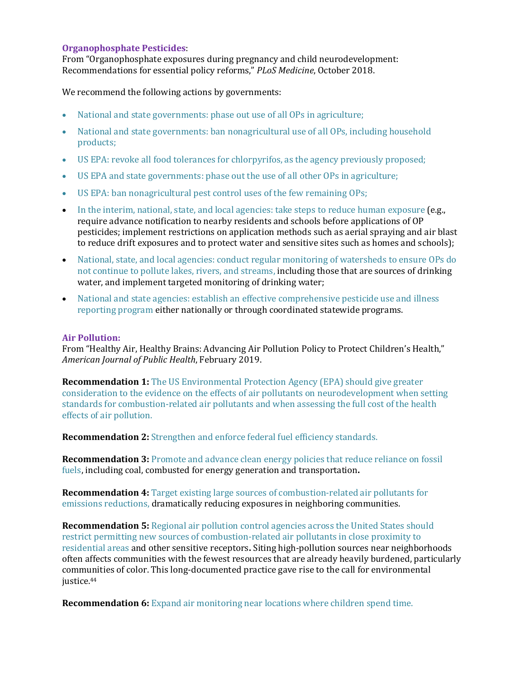#### **Organophosphate Pesticides:**

From "Organophosphate exposures during pregnancy and child neurodevelopment: Recommendations for essential policy reforms," PLoS Medicine, October 2018.

We recommend the following actions by governments:

- National and state governments: phase out use of all OPs in agriculture;
- National and state governments: ban nonagricultural use of all OPs, including household products;
- US EPA: revoke all food tolerances for chlorpyrifos, as the agency previously proposed;
- US EPA and state governments: phase out the use of all other OPs in agriculture;
- US EPA: ban nonagricultural pest control uses of the few remaining OPs;
- In the interim, national, state, and local agencies: take steps to reduce human exposure  $(e.g.,)$ require advance notification to nearby residents and schools before applications of OP pesticides; implement restrictions on application methods such as aerial spraying and air blast to reduce drift exposures and to protect water and sensitive sites such as homes and schools);
- National, state, and local agencies: conduct regular monitoring of watersheds to ensure OPs do not continue to pollute lakes, rivers, and streams, including those that are sources of drinking water, and implement targeted monitoring of drinking water;
- National and state agencies: establish an effective comprehensive pesticide use and illness reporting program either nationally or through coordinated statewide programs.

#### **Air Pollution:**

From "Healthy Air, Healthy Brains: Advancing Air Pollution Policy to Protect Children's Health," *American Journal of Public Health*, February 2019. 

**Recommendation 1:** The US Environmental Protection Agency (EPA) should give greater consideration to the evidence on the effects of air pollutants on neurodevelopment when setting standards for combustion-related air pollutants and when assessing the full cost of the health effects of air pollution.

**Recommendation 2:** Strengthen and enforce federal fuel efficiency standards.

**Recommendation 3:** Promote and advance clean energy policies that reduce reliance on fossil fuels, including coal, combusted for energy generation and transportation.

**Recommendation 4:** Target existing large sources of combustion-related air pollutants for emissions reductions, dramatically reducing exposures in neighboring communities.

**Recommendation 5:** Regional air pollution control agencies across the United States should restrict permitting new sources of combustion-related air pollutants in close proximity to residential areas and other sensitive receptors. Siting high-pollution sources near neighborhoods often affects communities with the fewest resources that are already heavily burdened, particularly communities of color. This long-documented practice gave rise to the call for environmental justice.<sup>44</sup>

**Recommendation 6:** Expand air monitoring near locations where children spend time.